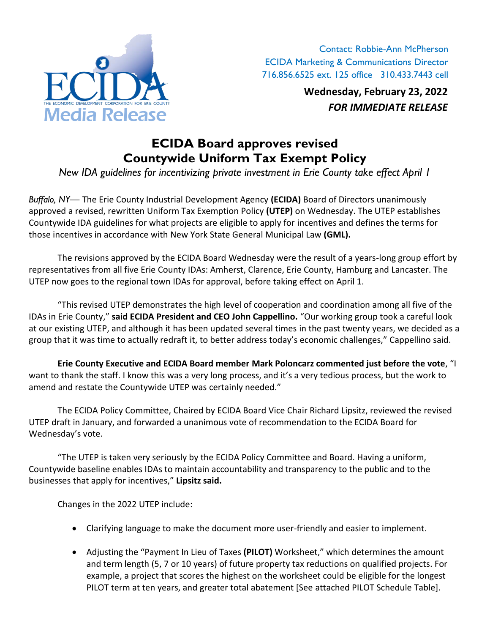

Contact: Robbie-Ann McPherson ECIDA Marketing & Communications Director 716.856.6525 ext. 125 office 310.433.7443 cell

> **Wednesday, February 23, 2022** *FOR IMMEDIATE RELEASE*

## **ECIDA Board approves revised Countywide Uniform Tax Exempt Policy**

*New IDA guidelines for incentivizing private investment in Erie County take effect April 1*

*Buffalo, NY—* The Erie County Industrial Development Agency **(ECIDA)** Board of Directors unanimously approved a revised, rewritten Uniform Tax Exemption Policy **(UTEP)** on Wednesday. The UTEP establishes Countywide IDA guidelines for what projects are eligible to apply for incentives and defines the terms for those incentives in accordance with New York State General Municipal Law **(GML).**

The revisions approved by the ECIDA Board Wednesday were the result of a years-long group effort by representatives from all five Erie County IDAs: Amherst, Clarence, Erie County, Hamburg and Lancaster. The UTEP now goes to the regional town IDAs for approval, before taking effect on April 1.

"This revised UTEP demonstrates the high level of cooperation and coordination among all five of the IDAs in Erie County," **said ECIDA President and CEO John Cappellino.** "Our working group took a careful look at our existing UTEP, and although it has been updated several times in the past twenty years, we decided as a group that it was time to actually redraft it, to better address today's economic challenges," Cappellino said.

**Erie County Executive and ECIDA Board member Mark Poloncarz commented just before the vote**, "I want to thank the staff. I know this was a very long process, and it's a very tedious process, but the work to amend and restate the Countywide UTEP was certainly needed."

The ECIDA Policy Committee, Chaired by ECIDA Board Vice Chair Richard Lipsitz, reviewed the revised UTEP draft in January, and forwarded a unanimous vote of recommendation to the ECIDA Board for Wednesday's vote.

"The UTEP is taken very seriously by the ECIDA Policy Committee and Board. Having a uniform, Countywide baseline enables IDAs to maintain accountability and transparency to the public and to the businesses that apply for incentives," **Lipsitz said.**

Changes in the 2022 UTEP include:

- Clarifying language to make the document more user-friendly and easier to implement.
- Adjusting the "Payment In Lieu of Taxes **(PILOT)** Worksheet," which determines the amount and term length (5, 7 or 10 years) of future property tax reductions on qualified projects. For example, a project that scores the highest on the worksheet could be eligible for the longest PILOT term at ten years, and greater total abatement [See attached PILOT Schedule Table].